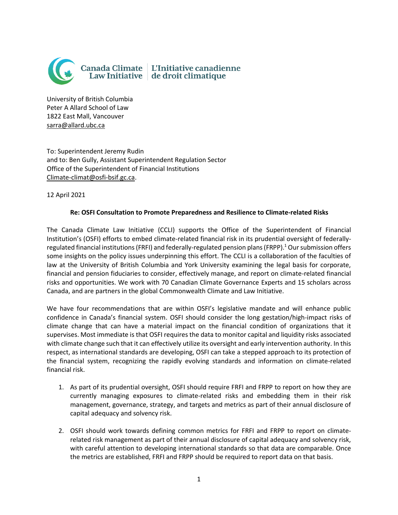

University of British Columbia Peter A Allard School of Law 1822 East Mall, Vancouver [sarra@allard.ubc.ca](mailto:sarra@allard.ubc.ca)

To: Superintendent Jeremy Rudin and to: Ben Gully, Assistant Superintendent Regulation Sector Office of the Superintendent of Financial Institutions [Climate-climat@osfi-bsif.gc.ca.](mailto:Climate-climat@osfi-bsif.gc.ca)

12 April 2021

## **Re: OSFI Consultation to Promote Preparedness and Resilience to Climate-related Risks**

The Canada Climate Law Initiative (CCLI) supports the Office of the Superintendent of Financial Institution's (OSFI) efforts to embed climate-related financial risk in its prudential oversight of federallyregulated financial institutions (FRFI) and federally-regulated pension plans (FRPP). <sup>1</sup> Our submission offers some insights on the policy issues underpinning this effort. The CCLI is a collaboration of the faculties of law at the University of British Columbia and York University examining the legal basis for corporate, financial and pension fiduciaries to consider, effectively manage, and report on climate-related financial risks and opportunities. We work with 70 Canadian Climate Governance Experts and 15 scholars across Canada, and are partners in the global Commonwealth Climate and Law Initiative.

We have four recommendations that are within OSFI's legislative mandate and will enhance public confidence in Canada's financial system. OSFI should consider the long gestation/high-impact risks of climate change that can have a material impact on the financial condition of organizations that it supervises. Most immediate is that OSFI requires the data to monitor capital and liquidity risks associated with climate change such that it can effectively utilize its oversight and early intervention authority. In this respect, as international standards are developing, OSFI can take a stepped approach to its protection of the financial system, recognizing the rapidly evolving standards and information on climate-related financial risk.

- 1. As part of its prudential oversight, OSFI should require FRFI and FRPP to report on how they are currently managing exposures to climate-related risks and embedding them in their risk management, governance, strategy, and targets and metrics as part of their annual disclosure of capital adequacy and solvency risk.
- 2. OSFI should work towards defining common metrics for FRFI and FRPP to report on climaterelated risk management as part of their annual disclosure of capital adequacy and solvency risk, with careful attention to developing international standards so that data are comparable. Once the metrics are established, FRFI and FRPP should be required to report data on that basis.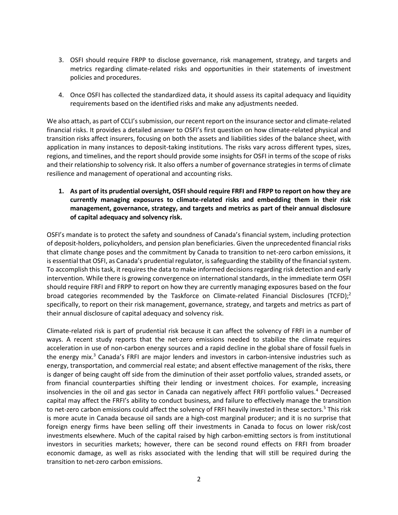- 3. OSFI should require FRPP to disclose governance, risk management, strategy, and targets and metrics regarding climate-related risks and opportunities in their statements of investment policies and procedures.
- 4. Once OSFI has collected the standardized data, it should assess its capital adequacy and liquidity requirements based on the identified risks and make any adjustments needed.

We also attach, as part of CCLI's submission, our recent report on the insurance sector and climate-related financial risks. It provides a detailed answer to OSFI's first question on how climate-related physical and transition risks affect insurers, focusing on both the assets and liabilities sides of the balance sheet, with application in many instances to deposit-taking institutions. The risks vary across different types, sizes, regions, and timelines, and the report should provide some insights for OSFI in terms of the scope of risks and their relationship to solvency risk. It also offers a number of governance strategies in terms of climate resilience and management of operational and accounting risks.

**1. As part of its prudential oversight, OSFI should require FRFI and FRPP to report on how they are currently managing exposures to climate-related risks and embedding them in their risk management, governance, strategy, and targets and metrics as part of their annual disclosure of capital adequacy and solvency risk.**

OSFI's mandate is to protect the safety and soundness of Canada's financial system, including protection of deposit-holders, policyholders, and pension plan beneficiaries. Given the unprecedented financial risks that climate change poses and the commitment by Canada to transition to net-zero carbon emissions, it is essential that OSFI, as Canada's prudential regulator, is safeguarding the stability of the financial system. To accomplish this task, it requires the data to make informed decisions regarding risk detection and early intervention. While there is growing convergence on international standards, in the immediate term OSFI should require FRFI and FRPP to report on how they are currently managing exposures based on the four broad categories recommended by the Taskforce on Climate-related Financial Disclosures (TCFD);<sup>2</sup> specifically, to report on their risk management, governance, strategy, and targets and metrics as part of their annual disclosure of capital adequacy and solvency risk.

Climate-related risk is part of prudential risk because it can affect the solvency of FRFI in a number of ways. A recent study reports that the net-zero emissions needed to stabilize the climate requires acceleration in use of non-carbon energy sources and a rapid decline in the global share of fossil fuels in the energy mix.<sup>3</sup> Canada's FRFI are major lenders and investors in carbon-intensive industries such as energy, transportation, and commercial real estate; and absent effective management of the risks, there is danger of being caught off side from the diminution of their asset portfolio values, stranded assets, or from financial counterparties shifting their lending or investment choices. For example, increasing insolvencies in the oil and gas sector in Canada can negatively affect FRFI portfolio values.<sup>4</sup> Decreased capital may affect the FRFI's ability to conduct business, and failure to effectively manage the transition to net-zero carbon emissions could affect the solvency of FRFI heavily invested in these sectors.<sup>5</sup> This risk is more acute in Canada because oil sands are a high-cost marginal producer; and it is no surprise that foreign energy firms have been selling off their investments in Canada to focus on lower risk/cost investments elsewhere. Much of the capital raised by high carbon-emitting sectors is from institutional investors in securities markets; however, there can be second round effects on FRFI from broader economic damage, as well as risks associated with the lending that will still be required during the transition to net-zero carbon emissions.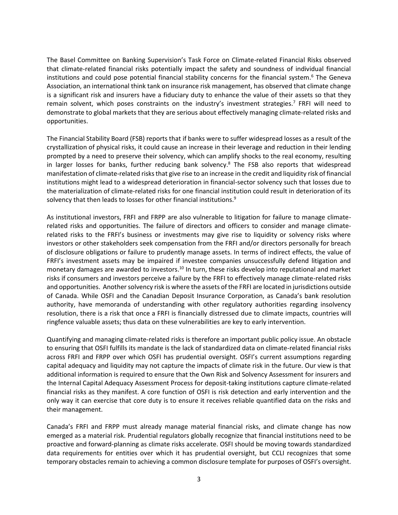The Basel Committee on Banking Supervision's Task Force on Climate-related Financial Risks observed that climate-related financial risks potentially impact the safety and soundness of individual financial institutions and could pose potential financial stability concerns for the financial system.<sup>6</sup> The Geneva Association, an international think tank on insurance risk management, has observed that climate change is a significant risk and insurers have a fiduciary duty to enhance the value of their assets so that they remain solvent, which poses constraints on the industry's investment strategies.<sup>7</sup> FRFI will need to demonstrate to global markets that they are serious about effectively managing climate-related risks and opportunities.

The Financial Stability Board (FSB) reports that if banks were to suffer widespread losses as a result of the crystallization of physical risks, it could cause an increase in their leverage and reduction in their lending prompted by a need to preserve their solvency, which can amplify shocks to the real economy, resulting in larger losses for banks, further reducing bank solvency.<sup>8</sup> The FSB also reports that widespread manifestation of climate-related risks that give rise to an increase in the credit and liquidity risk of financial institutions might lead to a widespread deterioration in financial-sector solvency such that losses due to the materialization of climate-related risks for one financial institution could result in deterioration of its solvency that then leads to losses for other financial institutions.<sup>9</sup>

As institutional investors, FRFI and FRPP are also vulnerable to litigation for failure to manage climaterelated risks and opportunities. The failure of directors and officers to consider and manage climaterelated risks to the FRFI's business or investments may give rise to liquidity or solvency risks where investors or other stakeholders seek compensation from the FRFI and/or directors personally for breach of disclosure obligations or failure to prudently manage assets. In terms of indirect effects, the value of FRFI's investment assets may be impaired if investee companies unsuccessfully defend litigation and monetary damages are awarded to investors.<sup>10</sup> In turn, these risks develop into reputational and market risks if consumers and investors perceive a failure by the FRFI to effectively manage climate-related risks and opportunities. Another solvency risk is where the assets of the FRFI are located in jurisdictions outside of Canada. While OSFI and the Canadian Deposit Insurance Corporation, as Canada's bank resolution authority, have memoranda of understanding with other regulatory authorities regarding insolvency resolution, there is a risk that once a FRFI is financially distressed due to climate impacts, countries will ringfence valuable assets; thus data on these vulnerabilities are key to early intervention.

Quantifying and managing climate-related risks is therefore an important public policy issue. An obstacle to ensuring that OSFI fulfills its mandate is the lack of standardized data on climate-related financial risks across FRFI and FRPP over which OSFI has prudential oversight. OSFI's current assumptions regarding capital adequacy and liquidity may not capture the impacts of climate risk in the future. Our view is that additional information is required to ensure that the Own Risk and Solvency Assessment for insurers and the Internal Capital Adequacy Assessment Process for deposit-taking institutions capture climate-related financial risks as they manifest. A core function of OSFI is risk detection and early intervention and the only way it can exercise that core duty is to ensure it receives reliable quantified data on the risks and their management.

Canada's FRFI and FRPP must already manage material financial risks, and climate change has now emerged as a material risk. Prudential regulators globally recognize that financial institutions need to be proactive and forward-planning as climate risks accelerate. OSFI should be moving towards standardized data requirements for entities over which it has prudential oversight, but CCLI recognizes that some temporary obstacles remain to achieving a common disclosure template for purposes of OSFI's oversight.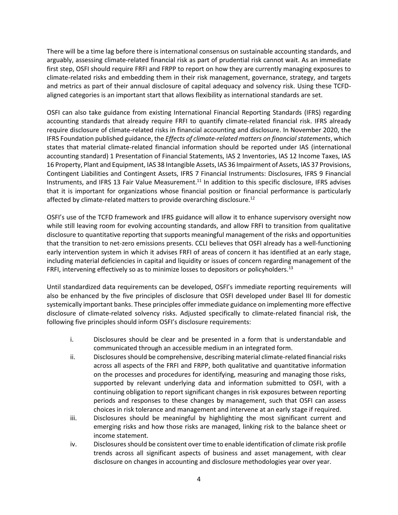There will be a time lag before there is international consensus on sustainable accounting standards, and arguably, assessing climate-related financial risk as part of prudential risk cannot wait. As an immediate first step, OSFI should require FRFI and FRPP to report on how they are currently managing exposures to climate-related risks and embedding them in their risk management, governance, strategy, and targets and metrics as part of their annual disclosure of capital adequacy and solvency risk. Using these TCFDaligned categories is an important start that allows flexibility as international standards are set.

OSFI can also take guidance from existing International Financial Reporting Standards (IFRS) regarding accounting standards that already require FRFI to quantify climate-related financial risk. IFRS already require disclosure of climate-related risks in financial accounting and disclosure. In November 2020, the IFRS Foundation published guidance, the *Effects of climate-related matters on financial statements*, which states that material climate-related financial information should be reported under IAS (international accounting standard) 1 Presentation of Financial Statements, IAS 2 Inventories, IAS 12 Income Taxes, IAS 16 Property, Plant and Equipment, IAS 38 Intangible Assets, IAS 36 Impairment of Assets, IAS 37 Provisions, Contingent Liabilities and Contingent Assets, IFRS 7 Financial Instruments: Disclosures, IFRS 9 Financial Instruments, and IFRS 13 Fair Value Measurement.<sup>11</sup> In addition to this specific disclosure, IFRS advises that it is important for organizations whose financial position or financial performance is particularly affected by climate-related matters to provide overarching disclosure.<sup>12</sup>

OSFI's use of the TCFD framework and IFRS guidance will allow it to enhance supervisory oversight now while still leaving room for evolving accounting standards, and allow FRFI to transition from qualitative disclosure to quantitative reporting that supports meaningful management of the risks and opportunities that the transition to net-zero emissions presents. CCLI believes that OSFI already has a well-functioning early intervention system in which it advises FRFI of areas of concern it has identified at an early stage, including material deficiencies in capital and liquidity or issues of concern regarding management of the FRFI, intervening effectively so as to minimize losses to depositors or policyholders.<sup>13</sup>

Until standardized data requirements can be developed, OSFI's immediate reporting requirements will also be enhanced by the five principles of disclosure that OSFI developed under Basel III for domestic systemically important banks. These principles offer immediate guidance on implementing more effective disclosure of climate-related solvency risks. Adjusted specifically to climate-related financial risk, the following five principles should inform OSFI's disclosure requirements:

- i. Disclosures should be clear and be presented in a form that is understandable and communicated through an accessible medium in an integrated form.
- ii. Disclosures should be comprehensive, describing material climate-related financial risks across all aspects of the FRFI and FRPP, both qualitative and quantitative information on the processes and procedures for identifying, measuring and managing those risks, supported by relevant underlying data and information submitted to OSFI, with a continuing obligation to report significant changes in risk exposures between reporting periods and responses to these changes by management, such that OSFI can assess choices in risk tolerance and management and intervene at an early stage if required.
- iii. Disclosures should be meaningful by highlighting the most significant current and emerging risks and how those risks are managed, linking risk to the balance sheet or income statement.
- iv. Disclosures should be consistent over time to enable identification of climate risk profile trends across all significant aspects of business and asset management, with clear disclosure on changes in accounting and disclosure methodologies year over year.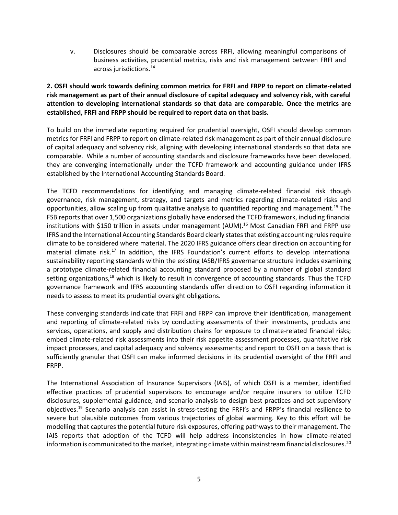v. Disclosures should be comparable across FRFI, allowing meaningful comparisons of business activities, prudential metrics, risks and risk management between FRFI and across jurisdictions.<sup>14</sup>

**2. OSFI should work towards defining common metrics for FRFI and FRPP to report on climate-related risk management as part of their annual disclosure of capital adequacy and solvency risk, with careful attention to developing international standards so that data are comparable. Once the metrics are established, FRFI and FRPP should be required to report data on that basis.**

To build on the immediate reporting required for prudential oversight, OSFI should develop common metrics for FRFI and FRPP to report on climate-related risk management as part of their annual disclosure of capital adequacy and solvency risk, aligning with developing international standards so that data are comparable. While a number of accounting standards and disclosure frameworks have been developed, they are converging internationally under the TCFD framework and accounting guidance under IFRS established by the International Accounting Standards Board.

The TCFD recommendations for identifying and managing climate-related financial risk though governance, risk management, strategy, and targets and metrics regarding climate-related risks and opportunities, allow scaling up from qualitative analysis to quantified reporting and management.<sup>15</sup> The FSB reports that over 1,500 organizations globally have endorsed the TCFD framework, including financial institutions with \$150 trillion in assets under management (AUM). <sup>16</sup> Most Canadian FRFI and FRPP use IFRS and the International Accounting Standards Board clearly statesthat existing accounting rules require climate to be considered where material. The 2020 IFRS guidance offers clear direction on accounting for material climate risk.<sup>17</sup> In addition, the IFRS Foundation's current efforts to develop international sustainability reporting standards within the existing IASB/IFRS governance structure includes examining a prototype climate-related financial accounting standard proposed by a number of global standard setting organizations, $18$  which is likely to result in convergence of accounting standards. Thus the TCFD governance framework and IFRS accounting standards offer direction to OSFI regarding information it needs to assess to meet its prudential oversight obligations.

These converging standards indicate that FRFI and FRPP can improve their identification, management and reporting of climate-related risks by conducting assessments of their investments, products and services, operations, and supply and distribution chains for exposure to climate-related financial risks; embed climate-related risk assessments into their risk appetite assessment processes, quantitative risk impact processes, and capital adequacy and solvency assessments; and report to OSFI on a basis that is sufficiently granular that OSFI can make informed decisions in its prudential oversight of the FRFI and FRPP.

The International Association of Insurance Supervisors (IAIS), of which OSFI is a member, identified effective practices of prudential supervisors to encourage and/or require insurers to utilize TCFD disclosures, supplemental guidance, and scenario analysis to design best practices and set supervisory objectives.<sup>19</sup> Scenario analysis can assist in stress-testing the FRFI's and FRPP's financial resilience to severe but plausible outcomes from various trajectories of global warming. Key to this effort will be modelling that captures the potential future risk exposures, offering pathways to their management. The IAIS reports that adoption of the TCFD will help address inconsistencies in how climate-related information is communicated to the market, integrating climate within mainstream financial disclosures.<sup>20</sup>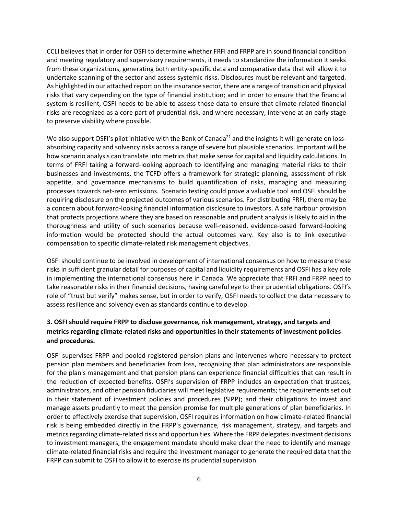CCLI believes that in order for OSFI to determine whether FRFI and FRPP are in sound financial condition and meeting regulatory and supervisory requirements, it needs to standardize the information it seeks from these organizations, generating both entity-specific data and comparative data that will allow it to undertake scanning of the sector and assess systemic risks. Disclosures must be relevant and targeted. As highlighted in our attached report on the insurance sector, there are a range of transition and physical risks that vary depending on the type of financial institution; and in order to ensure that the financial system is resilient, OSFI needs to be able to assess those data to ensure that climate-related financial risks are recognized as a core part of prudential risk, and where necessary, intervene at an early stage to preserve viability where possible.

We also support OSFI's pilot initiative with the Bank of Canada<sup>21</sup> and the insights it will generate on lossabsorbing capacity and solvency risks across a range of severe but plausible scenarios. Important will be how scenario analysis can translate into metrics that make sense for capital and liquidity calculations. In terms of FRFI taking a forward-looking approach to identifying and managing material risks to their businesses and investments, the TCFD offers a framework for strategic planning, assessment of risk appetite, and governance mechanisms to build quantification of risks, managing and measuring processes towards net-zero emissions. Scenario testing could prove a valuable tool and OSFI should be requiring disclosure on the projected outcomes of various scenarios. For distributing FRFI, there may be a concern about forward-looking financial information disclosure to investors. A safe harbour provision that protects projections where they are based on reasonable and prudent analysis is likely to aid in the thoroughness and utility of such scenarios because well-reasoned, evidence-based forward-looking information would be protected should the actual outcomes vary. Key also is to link executive compensation to specific climate-related risk management objectives.

OSFI should continue to be involved in development of international consensus on how to measure these risks in sufficient granular detail for purposes of capital and liquidity requirements and OSFI has a key role in implementing the international consensus here in Canada. We appreciate that FRFI and FRPP need to take reasonable risks in their financial decisions, having careful eye to their prudential obligations. OSFI's role of "trust but verify" makes sense, but in order to verify, OSFI needs to collect the data necessary to assess resilience and solvency even as standards continue to develop.

# **3. OSFI should require FRPP to disclose governance, risk management, strategy, and targets and metrics regarding climate-related risks and opportunities in their statements of investment policies and procedures.**

OSFI supervises FRPP and pooled registered pension plans and intervenes where necessary to protect pension plan members and beneficiaries from loss, recognizing that plan administrators are responsible for the plan's management and that pension plans can experience financial difficulties that can result in the reduction of expected benefits. OSFI's supervision of FRPP includes an expectation that trustees, administrators, and other pension fiduciaries will meet legislative requirements; the requirements set out in their statement of investment policies and procedures (SIPP); and their obligations to invest and manage assets prudently to meet the pension promise for multiple generations of plan beneficiaries. In order to effectively exercise that supervision, OSFI requires information on how climate-related financial risk is being embedded directly in the FRPP's governance, risk management, strategy, and targets and metrics regarding climate-related risks and opportunities. Where the FRPP delegates investment decisions to investment managers, the engagement mandate should make clear the need to identify and manage climate-related financial risks and require the investment manager to generate the required data that the FRPP can submit to OSFI to allow it to exercise its prudential supervision.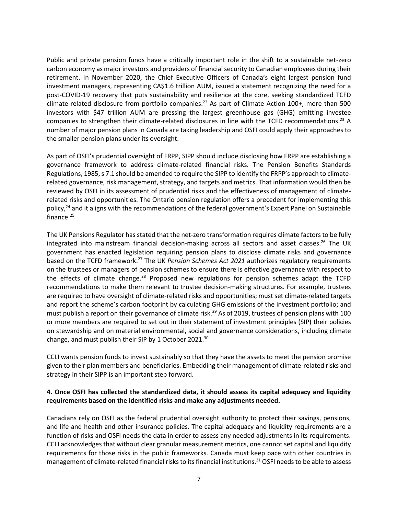Public and private pension funds have a critically important role in the shift to a sustainable net-zero carbon economy as major investors and providers of financial security to Canadian employees during their retirement. In November 2020, the Chief Executive Officers of Canada's eight largest pension fund investment managers, representing CA\$1.6 trillion AUM, issued a statement recognizing the need for a post-COVID-19 recovery that puts sustainability and resilience at the core, seeking standardized TCFD climate-related disclosure from portfolio companies.<sup>22</sup> As part of Climate Action 100+, more than 500 investors with \$47 trillion AUM are pressing the largest greenhouse gas (GHG) emitting investee companies to strengthen their climate-related disclosures in line with the TCFD recommendations.<sup>23</sup> A number of major pension plans in Canada are taking leadership and OSFI could apply their approaches to the smaller pension plans under its oversight.

As part of OSFI's prudential oversight of FRPP, SIPP should include disclosing how FRPP are establishing a governance framework to address climate-related financial risks. The Pension Benefits Standards Regulations, 1985, s 7.1 should be amended to require the SIPP to identify the FRPP's approach to climaterelated governance, risk management, strategy, and targets and metrics. That information would then be reviewed by OSFI in its assessment of prudential risks and the effectiveness of management of climaterelated risks and opportunities. The Ontario pension regulation offers a precedent for implementing this policy,<sup>24</sup> and it aligns with the recommendations of the federal government's Expert Panel on Sustainable finance. $25$ 

The UK Pensions Regulator has stated that the net-zero transformation requires climate factors to be fully integrated into mainstream financial decision-making across all sectors and asset classes. <sup>26</sup> The UK government has enacted legislation requiring pension plans to disclose climate risks and governance based on the TCFD framework. <sup>27</sup> The UK *Pension Schemes Act 2021* authorizes regulatory requirements on the trustees or managers of pension schemes to ensure there is effective governance with respect to the effects of climate change.<sup>28</sup> Proposed new regulations for pension schemes adapt the TCFD recommendations to make them relevant to trustee decision-making structures. For example, trustees are required to have oversight of climate-related risks and opportunities; must set climate-related targets and report the scheme's carbon footprint by calculating GHG emissions of the investment portfolio; and must publish a report on their governance of climate risk.<sup>29</sup> As of 2019, trustees of pension plans with 100 or more members are required to set out in their statement of investment principles (SIP) their policies on stewardship and on material environmental, social and governance considerations, including climate change, and must publish their SIP by 1 October 2021. $^{30}$ 

CCLI wants pension funds to invest sustainably so that they have the assets to meet the pension promise given to their plan members and beneficiaries. Embedding their management of climate-related risks and strategy in their SIPP is an important step forward.

## **4. Once OSFI has collected the standardized data, it should assess its capital adequacy and liquidity requirements based on the identified risks and make any adjustments needed.**

Canadians rely on OSFI as the federal prudential oversight authority to protect their savings, pensions, and life and health and other insurance policies. The capital adequacy and liquidity requirements are a function of risks and OSFI needs the data in order to assess any needed adjustments in its requirements. CCLI acknowledges that without clear granular measurement metrics, one cannot set capital and liquidity requirements for those risks in the public frameworks. Canada must keep pace with other countries in management of climate-related financial risks to its financial institutions.<sup>31</sup> OSFI needs to be able to assess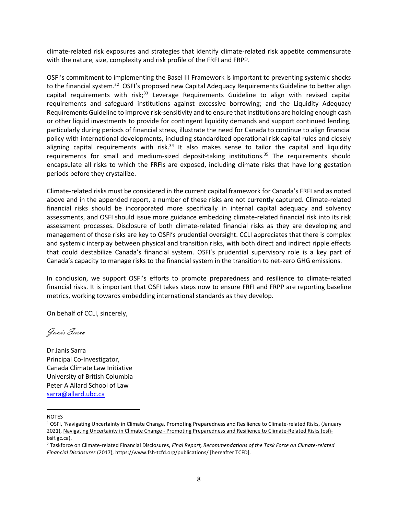climate-related risk exposures and strategies that identify climate-related risk appetite commensurate with the nature, size, complexity and risk profile of the FRFI and FRPP.

OSFI's commitment to implementing the Basel III Framework is important to preventing systemic shocks to the financial system.<sup>32</sup> OSFI's proposed new Capital Adequacy Requirements Guideline to better align capital requirements with risk;<sup>33</sup> Leverage Requirements Guideline to align with revised capital requirements and safeguard institutions against excessive borrowing; and the Liquidity Adequacy Requirements Guideline to improve risk-sensitivity and to ensure that institutions are holding enough cash or other liquid investments to provide for contingent liquidity demands and support continued lending, particularly during periods of financial stress, illustrate the need for Canada to continue to align financial policy with international developments, including standardized operational risk capital rules and closely aligning capital requirements with risk.<sup>34</sup> It also makes sense to tailor the capital and liquidity requirements for small and medium-sized deposit-taking institutions.<sup>35</sup> The requirements should encapsulate all risks to which the FRFIs are exposed, including climate risks that have long gestation periods before they crystallize.

Climate-related risks must be considered in the current capital framework for Canada's FRFI and as noted above and in the appended report, a number of these risks are not currently captured. Climate-related financial risks should be incorporated more specifically in internal capital adequacy and solvency assessments, and OSFI should issue more guidance embedding climate-related financial risk into its risk assessment processes. Disclosure of both climate-related financial risks as they are developing and management of those risks are key to OSFI's prudential oversight. CCLI appreciates that there is complex and systemic interplay between physical and transition risks, with both direct and indirect ripple effects that could destabilize Canada's financial system. OSFI's prudential supervisory role is a key part of Canada's capacity to manage risks to the financial system in the transition to net-zero GHG emissions.

In conclusion, we support OSFI's efforts to promote preparedness and resilience to climate-related financial risks. It is important that OSFI takes steps now to ensure FRFI and FRPP are reporting baseline metrics, working towards embedding international standards as they develop.

On behalf of CCLI, sincerely,

Janis Sarra

Dr Janis Sarra Principal Co-Investigator, Canada Climate Law Initiative University of British Columbia Peter A Allard School of Law [sarra@allard.ubc.ca](mailto:sarra@allard.ubc.ca)

### NOTES

<sup>1</sup> OSFI, 'Navigating Uncertainty in Climate Change, Promoting Preparedness and Resilience to Climate-related Risks, (January 2021), Navigating Uncertainty in Climate Change - [Promoting Preparedness and Resilience to Climate-Related Risks \(osfi](https://www.osfi-bsif.gc.ca/Eng/Docs/clmt-rsk.pdf)[bsif.gc.ca\).](https://www.osfi-bsif.gc.ca/Eng/Docs/clmt-rsk.pdf)

<sup>2</sup> Taskforce on Climate-related Financial Disclosures, *Final Report, Recommendations of the Task Force on Climate-related Financial Disclosures* (2017)[, https://www.fsb-tcfd.org/publications/](https://www.fsb-tcfd.org/publications/) [hereafter TCFD].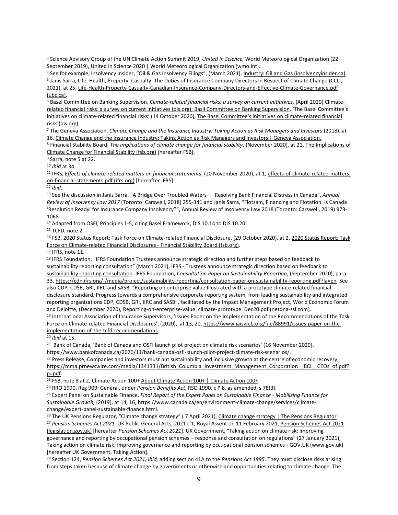<sup>3</sup> Science Advisory Group of the UN Climate Action Summit 2019, *United in Science,* World Meteorological Organization (22 September 2019)[, United in Science 2020 | World Meteorological Organization \(wmo.int\).](https://public.wmo.int/en/resources/united_in_science)

<sup>4</sup> See for example, Insolvency Insider, "Oil & Gas Insolvency Filings", (March 2021), [Industry: Oil and Gas \(insolvencyinsider.ca\).](https://insolvencyinsider.ca/industry/oil-and-gas/)

<sup>6</sup> Basel Committee on Banking Supervision, *Climate-related financial risks: a survey on current initiatives*, (April 2020) [Climate](https://www.bis.org/bcbs/publ/d502.pdf)[related financial risks: a survey on current initiatives \(bis.org\);](https://www.bis.org/bcbs/publ/d502.pdf) [Basil Committee on Banking Supervision](https://d.docs.live.net/6b16e7ecaae1ab01/Tortell/Documents/Documents%202021/federal%20policy/Basel%20Committee%20on%20Banking%20Supervision), 'The Basel Committee's initiatives on climate-related financial risks' (14 October 2020), [The Basel Committee's initiatives on climate-related financial](https://www.bis.org/speeches/sp201014.htm)  [risks \(bis.org\).](https://www.bis.org/speeches/sp201014.htm) 

<sup>7</sup> The Geneva Association, *Climate Change and the Insurance Industry: Taking Action as Risk Managers and Investors* (2018), at 16[, Climate Change and the Insurance Industry: Taking Action as Risk Managers and Investors | Geneva Association.](https://www.genevaassociation.org/research-topics/climate-change-and-emerging-environmental-topics/climate-change-and-insurance)

<sup>8</sup> Financial Stability Board, *The implications of climate change for financial stability*, (November 2020), at 21, [The Implications of](https://www.fsb.org/wp-content/uploads/P231120.pdf)  [Climate Change for Financial Stability \(fsb.org\)](https://www.fsb.org/wp-content/uploads/P231120.pdf) [hereafter FSB].

<sup>9</sup> Sarra, note 5 at 22.

<sup>10</sup> *Ibid* at 34.

<sup>11</sup> IFRS, *Effects of climate-related matters on financial statements*, (20 November 2020), at 1, [effects-of-climate-related-matters](https://cdn.ifrs.org/-/media/feature/supporting-implementation/documents/effects-of-climate-related-matters-on-financial-statements.pdf?la=en)[on-financial-statements.pdf \(ifrs.org\)](https://cdn.ifrs.org/-/media/feature/supporting-implementation/documents/effects-of-climate-related-matters-on-financial-statements.pdf?la=en) [hereafter IFRS].

#### <sup>12</sup> *Ibid.*

<sup>13</sup> See the discussion in Janis Sarra, "A Bridge Over Troubled Waters — Resolving Bank Financial Distress in Canada", *Annual Review of Insolvency Law 2017* (Toronto: Carswell, 2018) 255-341 and Janis Sarra, "Flotsam, Financing and Flotation: Is Canada 'Resolution Ready' for Insurance Company Insolvency?", Annual Review of Insolvency Law 2018 (Toronto: Carswell, 2019) 973- 1068.

<sup>14</sup> Adapted from OSFI, Principles 1-5, citing Basel Framework, DIS 10.14 to DIS 10.20.

<sup>15</sup> TCFD, note 2.

<sup>16</sup> FSB, 2020 Status Report: Task Force on Climate-related Financial Disclosure, (29 October 2020), at 2[, 2020 Status Report: Task](https://www.fsb.org/2020/10/2020-status-report-task-force-on-climate-related-financial-disclosures/)  [Force on Climate-related Financial Disclosures -](https://www.fsb.org/2020/10/2020-status-report-task-force-on-climate-related-financial-disclosures/) Financial Stability Board (fsb.org).

<sup>17</sup> IFRS, note 11.

<sup>18</sup> IFRS Foundation, "IFRS Foundation Trustees announce strategic direction and further steps based on feedback to sustainability reporting consultation" (March 2021), IFRS - [Trustees announce strategic direction based](https://www.ifrs.org/news-and-events/2021/03/trustees-announce-strategic-direction-based-on-feedback-to-sustainability-reporting-consultation/) on feedback to [sustainability reporting consultation.](https://www.ifrs.org/news-and-events/2021/03/trustees-announce-strategic-direction-based-on-feedback-to-sustainability-reporting-consultation/) IFRS Foundation, *Consultation Paper on Sustainability Reporting*, (September 2020), para. 33, <https://cdn.ifrs.org/-/media/project/sustainability-reporting/consultation-paper-on-sustainability-reporting.pdf?la=en>*.* See also CDP, CDSB, GRI, IIRC and SASB, "Reporting on enterprise value Illustrated with a prototype climate-related financial disclosure standard, Progress towards a comprehensive corporate reporting system, from leading sustainability and integrated reporting organizations CDP, CDSB, GRI, IIRC and SASB", facilitated by the Impact Management Project, World Economic Forum and Deloitte, (December 2020)[, Reporting-on-enterprise-value\\_climate-prototype\\_Dec20.pdf \(netdna-ssl.com\).](https://29kjwb3armds2g3gi4lq2sx1-wpengine.netdna-ssl.com/wp-content/uploads/Reporting-on-enterprise-value_climate-prototype_Dec20.pdf)

<sup>19</sup> International Association of Insurance Supervisors, 'Issues Paper on the Implementation of the Recommendations of the Task Force on Climate-related Financial Disclosures', (2020), at 13, 20, [https://www.iaisweb.org/file/88991/issues-paper-on-the](https://www.iaisweb.org/file/88991/issues-paper-on-the-implementation-of-the-tcfd-recommendations)[implementation-of-the-tcfd-recommendations.](https://www.iaisweb.org/file/88991/issues-paper-on-the-implementation-of-the-tcfd-recommendations)

<sup>20</sup> *Ibid* at 15.

<sup>21</sup> Bank of Canada, 'Bank of Canada and OSFI launch pilot project on climate risk scenarios' (16 November 2020), [https://www.bankofcanada.ca/2020/11/bank-canada-osfi-launch-pilot-project-climate-risk-scenarios/.](https://www.bankofcanada.ca/2020/11/bank-canada-osfi-launch-pilot-project-climate-risk-scenarios/) 

<sup>22</sup> Press Release*,* Companies and investors must put sustainability and inclusive growth at the centre of economic recovery, [https://mma.prnewswire.com/media/1341331/British\\_Columbia\\_Investment\\_Management\\_Corporation\\_\\_BCI\\_\\_CEOs\\_of.pdf?](https://mma.prnewswire.com/media/1341331/British_Columbia_Investment_Management_Corporation__BCI__CEOs_of.pdf?p=pdf) [p=pdf.](https://mma.prnewswire.com/media/1341331/British_Columbia_Investment_Management_Corporation__BCI__CEOs_of.pdf?p=pdf)

<sup>23</sup> FSB, note 8 at 2; Climate Action 100[+ About Climate Action 100+ | Climate Action 100+.](https://www.climateaction100.org/about/)

<sup>24</sup> RRO 1990, Reg 909: General, under *Pension Benefits Act*, RSO 1990, c P 8, as amended, s 78(3).

<sup>25</sup> Expert Panel on Sustainable Finance, *Final Report of the Expert Panel on Sustainable Finance - Mobilizing Finance for Sustainable Growth,* (2019), at 14, 16[, https://www.canada.ca/en/environment-climate-change/services/climate](https://www.canada.ca/en/environment-climate-change/services/climate-change/expert-panel-sustainable-finance.html)[change/expert-panel-sustainable-finance.html.](https://www.canada.ca/en/environment-climate-change/services/climate-change/expert-panel-sustainable-finance.html)

<sup>26</sup> The UK Pensions Regulator, "Climate change strategy" (7 April 2021), [Climate change strategy | The Pensions Regulator](https://www.thepensionsregulator.gov.uk/en/document-library/strategy-and-policy/climate-change-strategy) <sup>27</sup> *Pension Schemes Act 2021,* UK Public General Acts, 2021 c 1, Royal Assent on 11 February 2021, [Pension Schemes Act 2021](https://www.legislation.gov.uk/ukpga/2021/1/contents/enacted)  [\(legislation.gov.uk\)](https://www.legislation.gov.uk/ukpga/2021/1/contents/enacted) [hereafter *Pension Schemes Act 2021*]. UK Government, "Taking action on climate risk: improving governance and reporting by occupational pension schemes – response and consultation on regulations" (27 January 2021), [Taking action on climate risk: improving governance and reporting by occupational pension schemes -](https://www.gov.uk/government/consultations/taking-action-on-climate-risk-improving-governance-and-reporting-by-occupational-pension-schemes) GOV.UK (www.gov.uk) [hereafter UK Government, Taking Action].

<sup>28</sup> Section 124, *Pension Schemes Act 2021, ibid,* adding section 41A to the *Pensions Act 1995:* They must disclose risks arising from steps taken because of climate change by governments or otherwise and opportunities relating to climate change. The

<sup>&</sup>lt;sup>5</sup> Janis Sarra, Life, Health, Property, Casualty: The Duties of Insurance Company Directors in Respect of Climate Change (CCLI, 2021), at 25[, Life-Health-Property-Casualty-Canadian-Insurance-Company-Directors-and-Effective-Climate-Governance.pdf](https://law-ccli-2019.sites.olt.ubc.ca/files/2021/03/Life-Health-Property-Casualty-Canadian-Insurance-Company-Directors-and-Effective-Climate-Governance.pdf)  [\(ubc.ca\).](https://law-ccli-2019.sites.olt.ubc.ca/files/2021/03/Life-Health-Property-Casualty-Canadian-Insurance-Company-Directors-and-Effective-Climate-Governance.pdf)